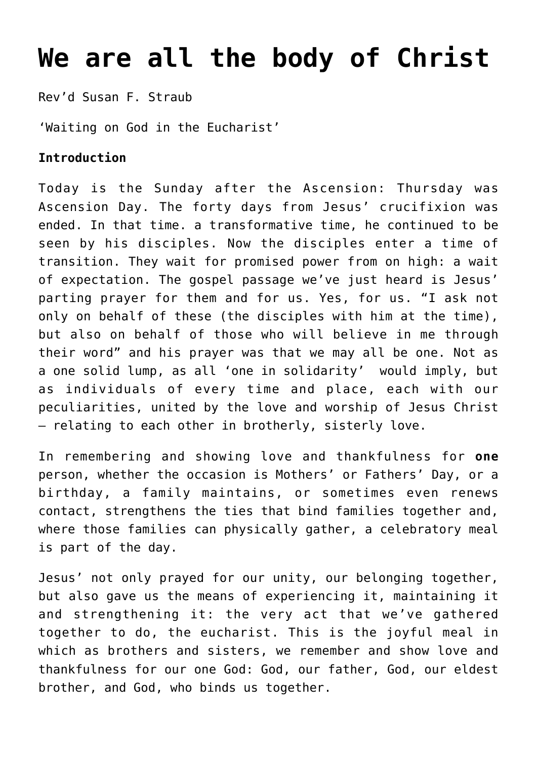## **[We are all the body of Christ](https://stjohnsadelaide.org.au/we-are-all-the-body-of-christ/)**

Rev'd Susan F. Straub

'Waiting on God in the Eucharist'

## **Introduction**

Today is the Sunday after the Ascension: Thursday was Ascension Day. The forty days from Jesus' crucifixion was ended. In that time. a transformative time, he continued to be seen by his disciples. Now the disciples enter a time of transition. They wait for promised power from on high: a wait of expectation. The gospel passage we've just heard is Jesus' parting prayer for them and for us. Yes, for us. "I ask not only on behalf of these (the disciples with him at the time), but also on behalf of those who will believe in me through their word" and his prayer was that we may all be one. Not as a one solid lump, as all 'one in solidarity' would imply, but as individuals of every time and place, each with our peculiarities, united by the love and worship of Jesus Christ – relating to each other in brotherly, sisterly love.

In remembering and showing love and thankfulness for **one** person, whether the occasion is Mothers' or Fathers' Day, or a birthday, a family maintains, or sometimes even renews contact, strengthens the ties that bind families together and, where those families can physically gather, a celebratory meal is part of the day.

Jesus' not only prayed for our unity, our belonging together, but also gave us the means of experiencing it, maintaining it and strengthening it: the very act that we've gathered together to do, the eucharist. This is the joyful meal in which as brothers and sisters, we remember and show love and thankfulness for our one God: God, our father, God, our eldest brother, and God, who binds us together.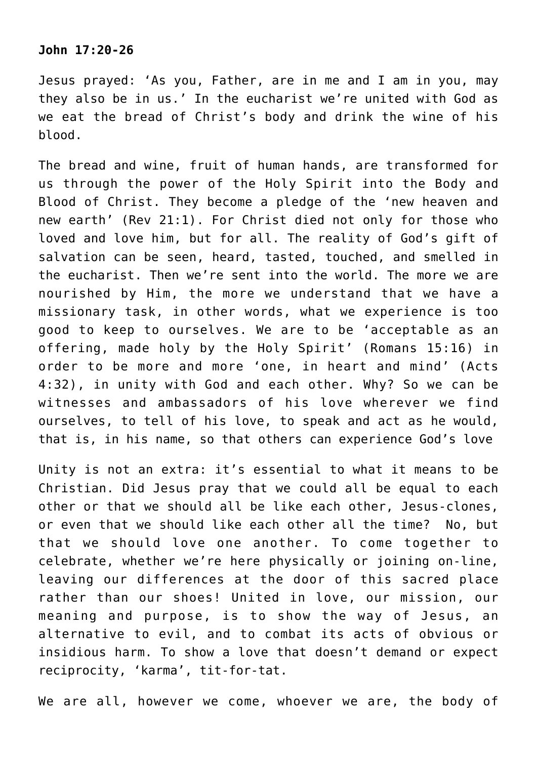## **John 17:20-26**

Jesus prayed: 'As you, Father, are in me and I am in you, may they also be in us.' In the eucharist we're united with God as we eat the bread of Christ's body and drink the wine of his blood.

The bread and wine, fruit of human hands, are transformed for us through the power of the Holy Spirit into the Body and Blood of Christ. They become a pledge of the 'new heaven and new earth' (Rev 21:1). For Christ died not only for those who loved and love him, but for all. The reality of God's gift of salvation can be seen, heard, tasted, touched, and smelled in the eucharist. Then we're sent into the world. The more we are nourished by Him, the more we understand that we have a missionary task, in other words, what we experience is too good to keep to ourselves. We are to be 'acceptable as an offering, made holy by the Holy Spirit' (Romans 15:16) in order to be more and more 'one, in heart and mind' (Acts 4:32), in unity with God and each other. Why? So we can be witnesses and ambassadors of his love wherever we find ourselves, to tell of his love, to speak and act as he would, that is, in his name, so that others can experience God's love

Unity is not an extra: it's essential to what it means to be Christian. Did Jesus pray that we could all be equal to each other or that we should all be like each other, Jesus-clones, or even that we should like each other all the time? No, but that we should love one another. To come together to celebrate, whether we're here physically or joining on-line, leaving our differences at the door of this sacred place rather than our shoes! United in love, our mission, our meaning and purpose, is to show the way of Jesus, an alternative to evil, and to combat its acts of obvious or insidious harm. To show a love that doesn't demand or expect reciprocity, 'karma', tit-for-tat.

We are all, however we come, whoever we are, the body of